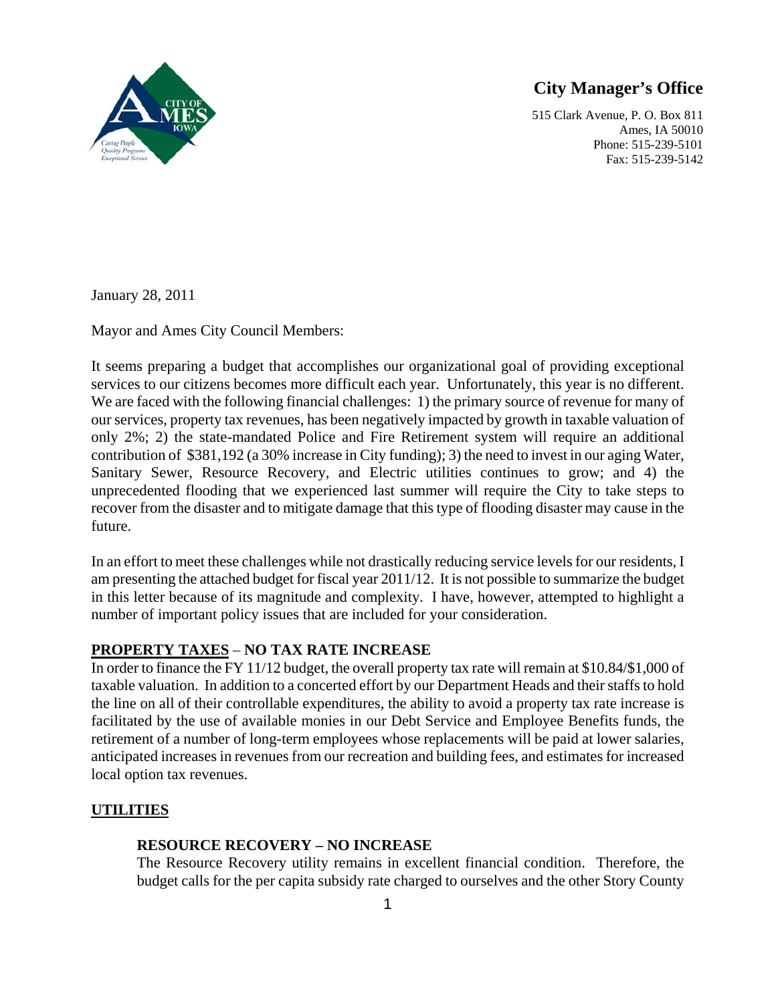

# **City Manager's Office**

515 Clark Avenue, P. O. Box 811 Ames, IA 50010 Phone: 515-239-5101 Fax: 515-239-5142

January 28, 2011

Mayor and Ames City Council Members:

It seems preparing a budget that accomplishes our organizational goal of providing exceptional services to our citizens becomes more difficult each year. Unfortunately, this year is no different. We are faced with the following financial challenges: 1) the primary source of revenue for many of our services, property tax revenues, has been negatively impacted by growth in taxable valuation of only 2%; 2) the state-mandated Police and Fire Retirement system will require an additional contribution of \$381,192 (a 30% increase in City funding); 3) the need to invest in our aging Water, Sanitary Sewer, Resource Recovery, and Electric utilities continues to grow; and 4) the unprecedented flooding that we experienced last summer will require the City to take steps to recover from the disaster and to mitigate damage that this type of flooding disaster may cause in the future.

In an effort to meet these challenges while not drastically reducing service levels for our residents, I am presenting the attached budget for fiscal year 2011/12. It is not possible to summarize the budget in this letter because of its magnitude and complexity. I have, however, attempted to highlight a number of important policy issues that are included for your consideration.

# **PROPERTY TAXES** – **NO TAX RATE INCREASE**

In order to finance the FY 11/12 budget, the overall property tax rate will remain at \$10.84/\$1,000 of taxable valuation. In addition to a concerted effort by our Department Heads and their staffs to hold the line on all of their controllable expenditures, the ability to avoid a property tax rate increase is facilitated by the use of available monies in our Debt Service and Employee Benefits funds, the retirement of a number of long-term employees whose replacements will be paid at lower salaries, anticipated increases in revenues from our recreation and building fees, and estimates for increased local option tax revenues.

# **UTILITIES**

# **RESOURCE RECOVERY – NO INCREASE**

The Resource Recovery utility remains in excellent financial condition. Therefore, the budget calls for the per capita subsidy rate charged to ourselves and the other Story County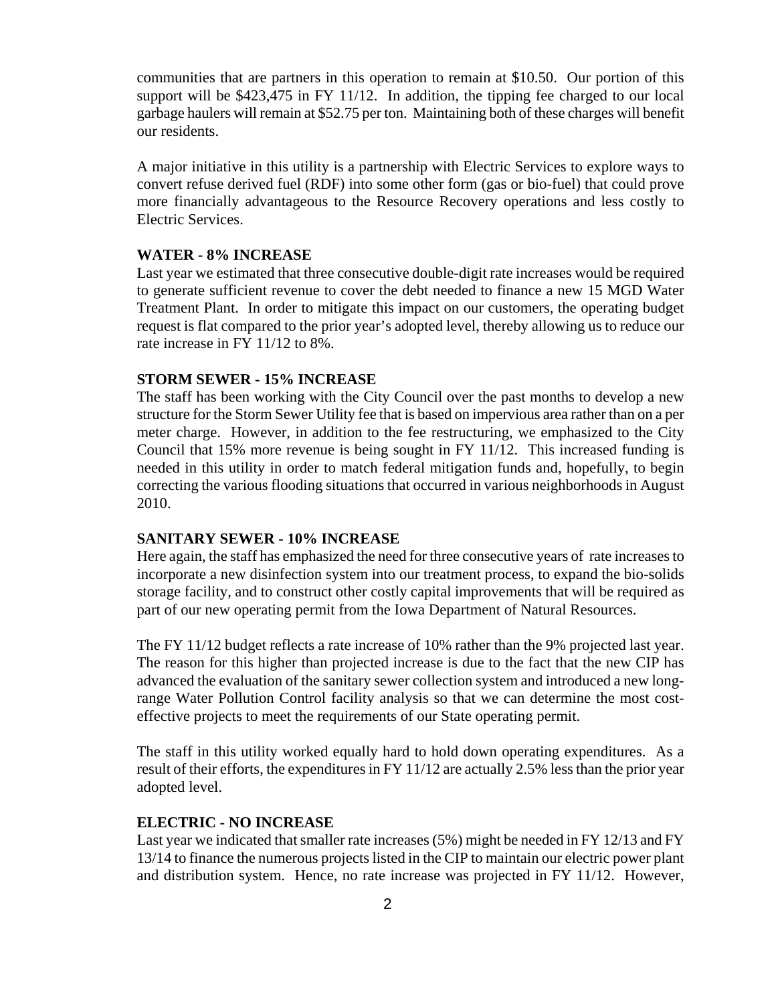communities that are partners in this operation to remain at \$10.50. Our portion of this support will be \$423,475 in FY 11/12. In addition, the tipping fee charged to our local garbage haulers will remain at \$52.75 per ton. Maintaining both of these charges will benefit our residents.

A major initiative in this utility is a partnership with Electric Services to explore ways to convert refuse derived fuel (RDF) into some other form (gas or bio-fuel) that could prove more financially advantageous to the Resource Recovery operations and less costly to Electric Services.

#### **WATER - 8% INCREASE**

Last year we estimated that three consecutive double-digit rate increases would be required to generate sufficient revenue to cover the debt needed to finance a new 15 MGD Water Treatment Plant. In order to mitigate this impact on our customers, the operating budget request is flat compared to the prior year's adopted level, thereby allowing us to reduce our rate increase in FY 11/12 to 8%.

## **STORM SEWER - 15% INCREASE**

The staff has been working with the City Council over the past months to develop a new structure for the Storm Sewer Utility fee that is based on impervious area rather than on a per meter charge. However, in addition to the fee restructuring, we emphasized to the City Council that 15% more revenue is being sought in FY 11/12. This increased funding is needed in this utility in order to match federal mitigation funds and, hopefully, to begin correcting the various flooding situations that occurred in various neighborhoods in August 2010.

#### **SANITARY SEWER - 10% INCREASE**

Here again, the staff has emphasized the need for three consecutive years of rate increases to incorporate a new disinfection system into our treatment process, to expand the bio-solids storage facility, and to construct other costly capital improvements that will be required as part of our new operating permit from the Iowa Department of Natural Resources.

The FY 11/12 budget reflects a rate increase of 10% rather than the 9% projected last year. The reason for this higher than projected increase is due to the fact that the new CIP has advanced the evaluation of the sanitary sewer collection system and introduced a new longrange Water Pollution Control facility analysis so that we can determine the most costeffective projects to meet the requirements of our State operating permit.

The staff in this utility worked equally hard to hold down operating expenditures. As a result of their efforts, the expenditures in FY 11/12 are actually 2.5% less than the prior year adopted level.

#### **ELECTRIC - NO INCREASE**

Last year we indicated that smaller rate increases (5%) might be needed in FY 12/13 and FY 13/14 to finance the numerous projects listed in the CIP to maintain our electric power plant and distribution system. Hence, no rate increase was projected in FY 11/12. However,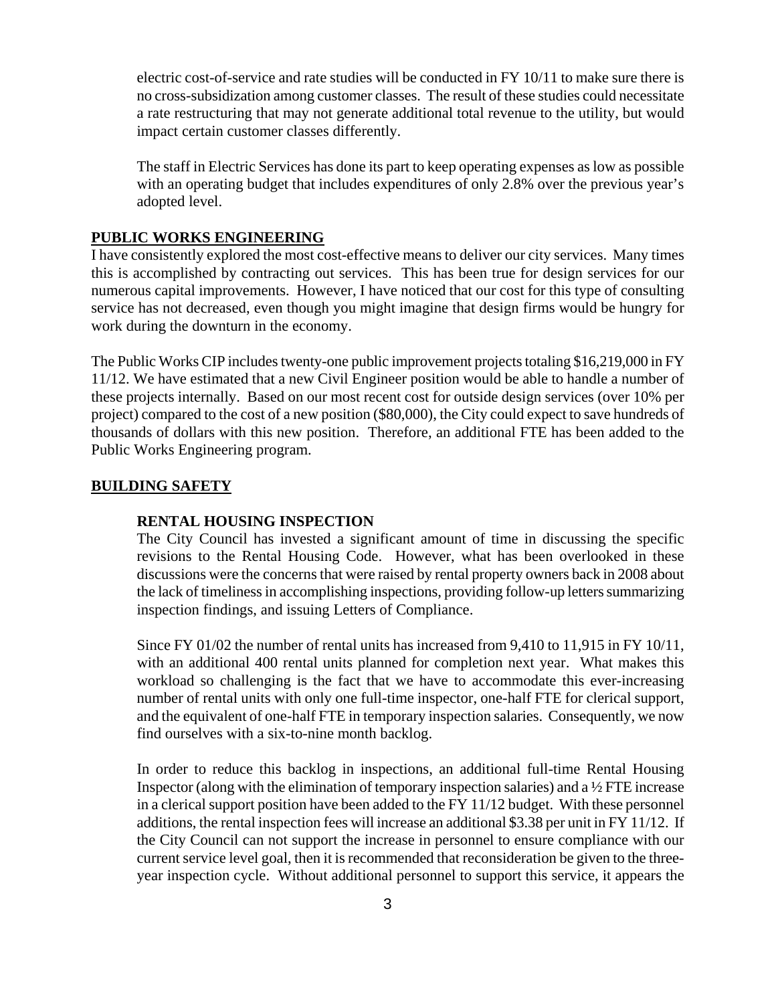electric cost-of-service and rate studies will be conducted in FY 10/11 to make sure there is no cross-subsidization among customer classes. The result of these studies could necessitate a rate restructuring that may not generate additional total revenue to the utility, but would impact certain customer classes differently.

The staff in Electric Services has done its part to keep operating expenses as low as possible with an operating budget that includes expenditures of only 2.8% over the previous year's adopted level.

### **PUBLIC WORKS ENGINEERING**

I have consistently explored the most cost-effective means to deliver our city services. Many times this is accomplished by contracting out services. This has been true for design services for our numerous capital improvements. However, I have noticed that our cost for this type of consulting service has not decreased, even though you might imagine that design firms would be hungry for work during the downturn in the economy.

The Public Works CIP includes twenty-one public improvement projects totaling \$16,219,000 in FY 11/12. We have estimated that a new Civil Engineer position would be able to handle a number of these projects internally. Based on our most recent cost for outside design services (over 10% per project) compared to the cost of a new position (\$80,000), the City could expect to save hundreds of thousands of dollars with this new position. Therefore, an additional FTE has been added to the Public Works Engineering program.

### **BUILDING SAFETY**

#### **RENTAL HOUSING INSPECTION**

The City Council has invested a significant amount of time in discussing the specific revisions to the Rental Housing Code. However, what has been overlooked in these discussions were the concerns that were raised by rental property owners back in 2008 about the lack of timeliness in accomplishing inspections, providing follow-up letters summarizing inspection findings, and issuing Letters of Compliance.

Since FY 01/02 the number of rental units has increased from 9,410 to 11,915 in FY 10/11, with an additional 400 rental units planned for completion next year. What makes this workload so challenging is the fact that we have to accommodate this ever-increasing number of rental units with only one full-time inspector, one-half FTE for clerical support, and the equivalent of one-half FTE in temporary inspection salaries. Consequently, we now find ourselves with a six-to-nine month backlog.

In order to reduce this backlog in inspections, an additional full-time Rental Housing Inspector (along with the elimination of temporary inspection salaries) and a ½ FTE increase in a clerical support position have been added to the FY 11/12 budget. With these personnel additions, the rental inspection fees will increase an additional \$3.38 per unit in FY 11/12. If the City Council can not support the increase in personnel to ensure compliance with our current service level goal, then it is recommended that reconsideration be given to the threeyear inspection cycle. Without additional personnel to support this service, it appears the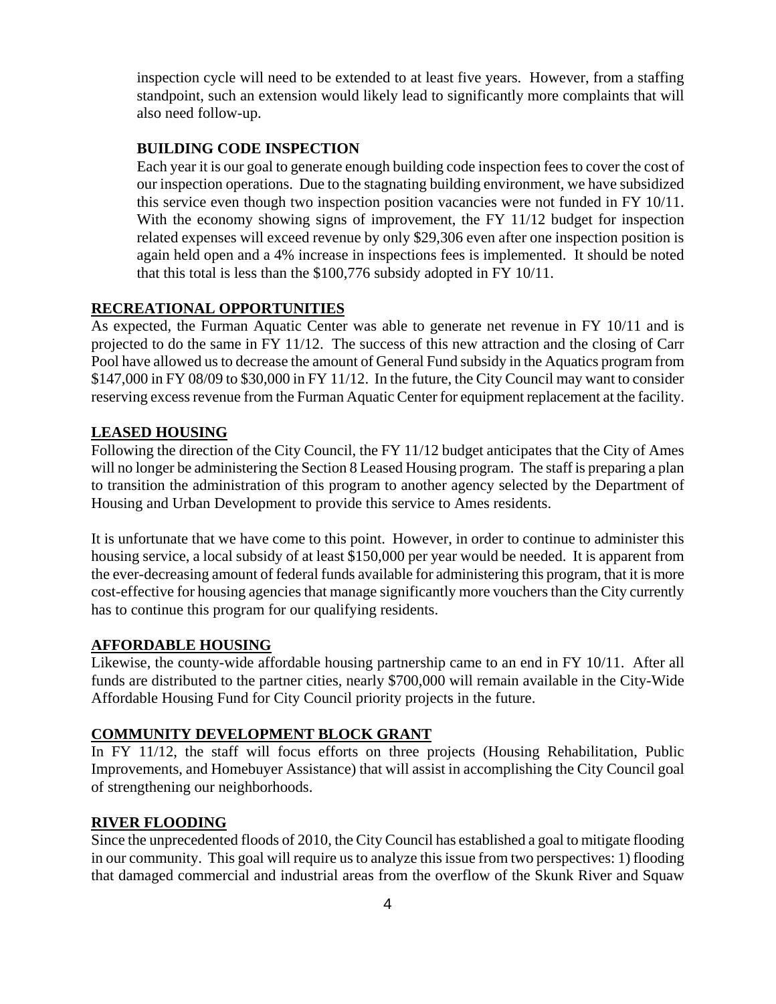inspection cycle will need to be extended to at least five years. However, from a staffing standpoint, such an extension would likely lead to significantly more complaints that will also need follow-up.

# **BUILDING CODE INSPECTION**

Each year it is our goal to generate enough building code inspection fees to cover the cost of our inspection operations. Due to the stagnating building environment, we have subsidized this service even though two inspection position vacancies were not funded in FY 10/11. With the economy showing signs of improvement, the FY 11/12 budget for inspection related expenses will exceed revenue by only \$29,306 even after one inspection position is again held open and a 4% increase in inspections fees is implemented. It should be noted that this total is less than the \$100,776 subsidy adopted in FY 10/11.

## **RECREATIONAL OPPORTUNITIES**

As expected, the Furman Aquatic Center was able to generate net revenue in FY 10/11 and is projected to do the same in FY 11/12. The success of this new attraction and the closing of Carr Pool have allowed us to decrease the amount of General Fund subsidy in the Aquatics program from \$147,000 in FY 08/09 to \$30,000 in FY 11/12. In the future, the City Council may want to consider reserving excess revenue from the Furman Aquatic Center for equipment replacement at the facility.

## **LEASED HOUSING**

Following the direction of the City Council, the FY 11/12 budget anticipates that the City of Ames will no longer be administering the Section 8 Leased Housing program. The staff is preparing a plan to transition the administration of this program to another agency selected by the Department of Housing and Urban Development to provide this service to Ames residents.

It is unfortunate that we have come to this point. However, in order to continue to administer this housing service, a local subsidy of at least \$150,000 per year would be needed. It is apparent from the ever-decreasing amount of federal funds available for administering this program, that it is more cost-effective for housing agencies that manage significantly more vouchers than the City currently has to continue this program for our qualifying residents.

## **AFFORDABLE HOUSING**

Likewise, the county-wide affordable housing partnership came to an end in FY 10/11. After all funds are distributed to the partner cities, nearly \$700,000 will remain available in the City-Wide Affordable Housing Fund for City Council priority projects in the future.

## **COMMUNITY DEVELOPMENT BLOCK GRANT**

In FY 11/12, the staff will focus efforts on three projects (Housing Rehabilitation, Public Improvements, and Homebuyer Assistance) that will assist in accomplishing the City Council goal of strengthening our neighborhoods.

## **RIVER FLOODING**

Since the unprecedented floods of 2010, the City Council has established a goal to mitigate flooding in our community. This goal will require us to analyze this issue from two perspectives: 1) flooding that damaged commercial and industrial areas from the overflow of the Skunk River and Squaw